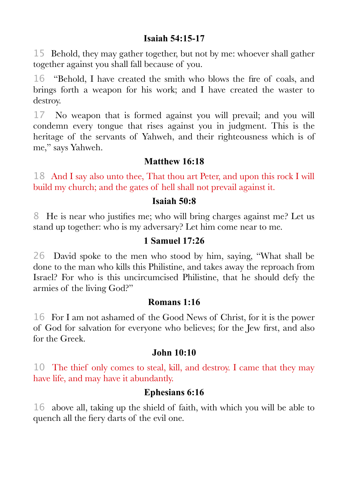## **Isaiah 54:15-17**

15 Behold, they may gather together, but not by me: whoever shall gather together against you shall fall because of you.

16 "Behold, I have created the smith who blows the fre of coals, and brings forth a weapon for his work; and I have created the waster to destroy.

17 No weapon that is formed against you will prevail; and you will condemn every tongue that rises against you in judgment. This is the heritage of the servants of Yahweh, and their righteousness which is of me," says Yahweh.

# **Matthew 16:18**

18 And I say also unto thee, That thou art Peter, and upon this rock I will build my church; and the gates of hell shall not prevail against it.

### **Isaiah 50:8**

8 He is near who justifes me; who will bring charges against me? Let us stand up together: who is my adversary? Let him come near to me.

## **1 Samuel 17:26**

26 David spoke to the men who stood by him, saying, "What shall be done to the man who kills this Philistine, and takes away the reproach from Israel? For who is this uncircumcised Philistine, that he should defy the armies of the living God?"

### **Romans 1:16**

16 For I am not ashamed of the Good News of Christ, for it is the power of God for salvation for everyone who believes; for the Jew frst, and also for the Greek.

#### **John 10:10**

10 The thief only comes to steal, kill, and destroy. I came that they may have life, and may have it abundantly.

### **Ephesians 6:16**

16 above all, taking up the shield of faith, with which you will be able to quench all the fery darts of the evil one.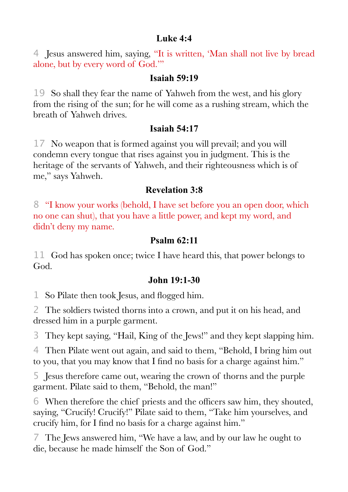#### **Luke 4:4**

4 Jesus answered him, saying, "It is written, 'Man shall not live by bread alone, but by every word of God.'"

#### **Isaiah 59:19**

19 So shall they fear the name of Yahweh from the west, and his glory from the rising of the sun; for he will come as a rushing stream, which the breath of Yahweh drives.

# **Isaiah 54:17**

17 No weapon that is formed against you will prevail; and you will condemn every tongue that rises against you in judgment. This is the heritage of the servants of Yahweh, and their righteousness which is of me," says Yahweh.

# **Revelation 3:8**

8 "I know your works (behold, I have set before you an open door, which no one can shut), that you have a little power, and kept my word, and didn't deny my name.

# **Psalm 62:11**

11 God has spoken once; twice I have heard this, that power belongs to God.

# **John 19:1-30**

1 So Pilate then took Jesus, and flogged him.

2 The soldiers twisted thorns into a crown, and put it on his head, and dressed him in a purple garment.

3 They kept saying, "Hail, King of the Jews!" and they kept slapping him.

4 Then Pilate went out again, and said to them, "Behold, I bring him out to you, that you may know that I fnd no basis for a charge against him."

5 Jesus therefore came out, wearing the crown of thorns and the purple garment. Pilate said to them, "Behold, the man!"

6 When therefore the chief priests and the offcers saw him, they shouted, saying, "Crucify! Crucify!" Pilate said to them, "Take him yourselves, and crucify him, for I fnd no basis for a charge against him."

7 The Jews answered him, "We have a law, and by our law he ought to die, because he made himself the Son of God."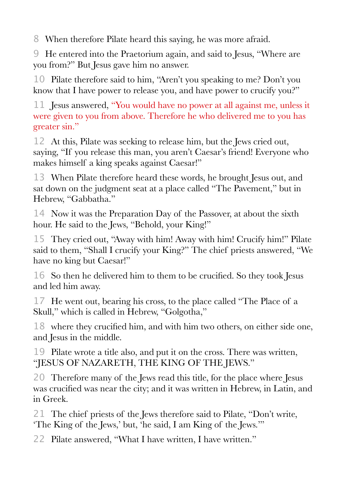8 When therefore Pilate heard this saying, he was more afraid.

9 He entered into the Praetorium again, and said to Jesus, "Where are you from?" But Jesus gave him no answer.

10 Pilate therefore said to him, "Aren't you speaking to me? Don't you know that I have power to release you, and have power to crucify you?"

11 Jesus answered, "You would have no power at all against me, unless it were given to you from above. Therefore he who delivered me to you has greater sin."

12 At this, Pilate was seeking to release him, but the Jews cried out, saying, "If you release this man, you aren't Caesar's friend! Everyone who makes himself a king speaks against Caesar!"

13 When Pilate therefore heard these words, he brought Jesus out, and sat down on the judgment seat at a place called "The Pavement," but in Hebrew, "Gabbatha."

14 Now it was the Preparation Day of the Passover, at about the sixth hour. He said to the Jews, "Behold, your King!"

15 They cried out, "Away with him! Away with him! Crucify him!" Pilate said to them, "Shall I crucify your King?" The chief priests answered, "We have no king but Caesar!"

16 So then he delivered him to them to be crucifed. So they took Jesus and led him away.

17 He went out, bearing his cross, to the place called "The Place of a Skull," which is called in Hebrew, "Golgotha,"

18 where they crucifed him, and with him two others, on either side one, and Jesus in the middle.

19 Pilate wrote a title also, and put it on the cross. There was written, "JESUS OF NAZARETH, THE KING OF THE JEWS."

20 Therefore many of the Jews read this title, for the place where Jesus was crucifed was near the city; and it was written in Hebrew, in Latin, and in Greek.

21 The chief priests of the Jews therefore said to Pilate, "Don't write, 'The King of the Jews,' but, 'he said, I am King of the Jews.'"

22 Pilate answered, "What I have written, I have written."